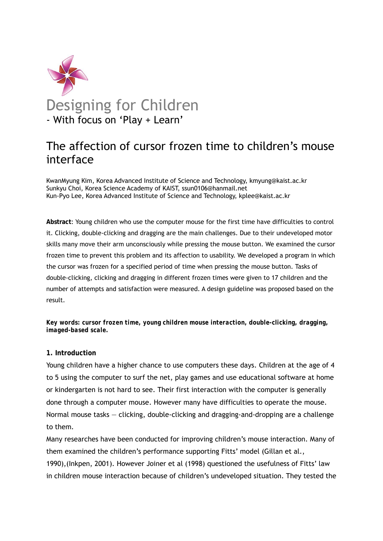

# The affection of cursor frozen time to children's mouse interface

KwanMyung Kim, Korea Advanced Institute of Science and Technology, kmyung@kaist.ac.kr Sunkyu Choi, Korea Science Academy of KAIST, ssun0106@hanmail.net Kun-Pyo Lee, Korea Advanced Institute of Science and Technology, kplee@kaist.ac.kr

**Abstract**: Young children who use the computer mouse for the first time have difficulties to control it. Clicking, double-clicking and dragging are the main challenges. Due to their undeveloped motor skills many move their arm unconsciously while pressing the mouse button. We examined the cursor frozen time to prevent this problem and its affection to usability. We developed a program in which the cursor was frozen for a specified period of time when pressing the mouse button. Tasks of double-clicking, clicking and dragging in different frozen times were given to 17 children and the number of attempts and satisfaction were measured. A design guideline was proposed based on the result.

*Key words: cursor frozen time, young children mouse interaction, double-clicking, dragging, imaged-based scale.* 

## **1. Introduction**

Young children have a higher chance to use computers these days. Children at the age of 4 to 5 using the computer to surf the net, play games and use educational software at home or kindergarten is not hard to see. Their first interaction with the computer is generally done through a computer mouse. However many have difficulties to operate the mouse. Normal mouse tasks ― clicking, double-clicking and dragging-and-dropping are a challenge to them.

Many researches have been conducted for improving children's mouse interaction. Many of them examined the children's performance supporting Fitts' model (Gillan et al., 1990),(Inkpen, 2001). However Joiner et al (1998) questioned the usefulness of Fitts' law in children mouse interaction because of children's undeveloped situation. They tested the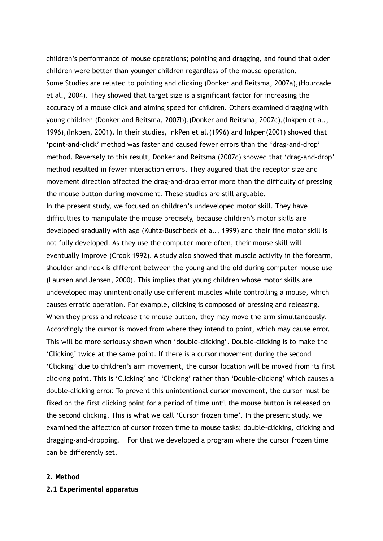children's performance of mouse operations; pointing and dragging, and found that older children were better than younger children regardless of the mouse operation. Some Studies are related to pointing and clicking (Donker and Reitsma, 2007a),(Hourcade et al., 2004). They showed that target size is a significant factor for increasing the accuracy of a mouse click and aiming speed for children. Others examined dragging with young children (Donker and Reitsma, 2007b),(Donker and Reitsma, 2007c),(Inkpen et al., 1996),(Inkpen, 2001). In their studies, InkPen et al.(1996) and Inkpen(2001) showed that 'point-and-click' method was faster and caused fewer errors than the 'drag-and-drop' method. Reversely to this result, Donker and Reitsma (2007c) showed that 'drag-and-drop' method resulted in fewer interaction errors. They augured that the receptor size and movement direction affected the drag-and-drop error more than the difficulty of pressing the mouse button during movement. These studies are still arguable. In the present study, we focused on children's undeveloped motor skill. They have difficulties to manipulate the mouse precisely, because children's motor skills are developed gradually with age (Kuhtz-Buschbeck et al., 1999) and their fine motor skill is not fully developed. As they use the computer more often, their mouse skill will eventually improve (Crook 1992). A study also showed that muscle activity in the forearm, shoulder and neck is different between the young and the old during computer mouse use (Laursen and Jensen, 2000). This implies that young children whose motor skills are undeveloped may unintentionally use different muscles while controlling a mouse, which causes erratic operation. For example, clicking is composed of pressing and releasing. When they press and release the mouse button, they may move the arm simultaneously. Accordingly the cursor is moved from where they intend to point, which may cause error. This will be more seriously shown when 'double-clicking'. Double-clicking is to make the 'Clicking' twice at the same point. If there is a cursor movement during the second 'Clicking' due to children's arm movement, the cursor location will be moved from its first clicking point. This is 'Clicking' and 'Clicking' rather than 'Double-clicking' which causes a double-clicking error. To prevent this unintentional cursor movement, the cursor must be fixed on the first clicking point for a period of time until the mouse button is released on the second clicking. This is what we call 'Cursor frozen time'. In the present study, we examined the affection of cursor frozen time to mouse tasks; double-clicking, clicking and dragging-and-dropping. For that we developed a program where the cursor frozen time can be differently set.

## **2. Method**

#### **2.1 Experimental apparatus**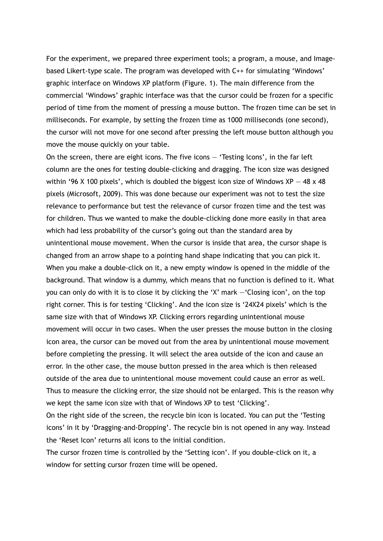For the experiment, we prepared three experiment tools; a program, a mouse, and Imagebased Likert-type scale. The program was developed with C++ for simulating 'Windows' graphic interface on Windows XP platform (Figure. 1). The main difference from the commercial 'Windows' graphic interface was that the cursor could be frozen for a specific period of time from the moment of pressing a mouse button. The frozen time can be set in milliseconds. For example, by setting the frozen time as 1000 milliseconds (one second), the cursor will not move for one second after pressing the left mouse button although you move the mouse quickly on your table.

On the screen, there are eight icons. The five icons ― 'Testing Icons', in the far left column are the ones for testing double-clicking and dragging. The icon size was designed within '96 X 100 pixels', which is doubled the biggest icon size of Windows  $XP - 48 \times 48$ pixels (Microsoft, 2009). This was done because our experiment was not to test the size relevance to performance but test the relevance of cursor frozen time and the test was for children. Thus we wanted to make the double-clicking done more easily in that area which had less probability of the cursor's going out than the standard area by unintentional mouse movement. When the cursor is inside that area, the cursor shape is changed from an arrow shape to a pointing hand shape indicating that you can pick it. When you make a double-click on it, a new empty window is opened in the middle of the background. That window is a dummy, which means that no function is defined to it. What you can only do with it is to close it by clicking the 'X' mark ―'Closing icon', on the top right corner. This is for testing 'Clicking'. And the icon size is '24X24 pixels' which is the same size with that of Windows XP. Clicking errors regarding unintentional mouse movement will occur in two cases. When the user presses the mouse button in the closing icon area, the cursor can be moved out from the area by unintentional mouse movement before completing the pressing. It will select the area outside of the icon and cause an error. In the other case, the mouse button pressed in the area which is then released outside of the area due to unintentional mouse movement could cause an error as well. Thus to measure the clicking error, the size should not be enlarged. This is the reason why we kept the same icon size with that of Windows XP to test 'Clicking'.

On the right side of the screen, the recycle bin icon is located. You can put the 'Testing icons' in it by 'Dragging-and-Dropping'. The recycle bin is not opened in any way. Instead the 'Reset Icon' returns all icons to the initial condition.

The cursor frozen time is controlled by the 'Setting icon'. If you double-click on it, a window for setting cursor frozen time will be opened.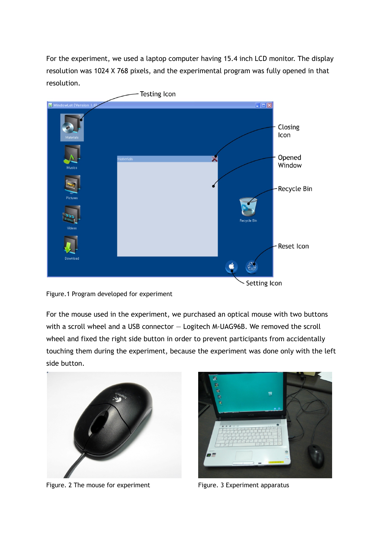For the experiment, we used a laptop computer having 15.4 inch LCD monitor. The display resolution was 1024 X 768 pixels, and the experimental program was fully opened in that resolution.





For the mouse used in the experiment, we purchased an optical mouse with two buttons with a scroll wheel and a USB connector – Logitech M-UAG96B. We removed the scroll wheel and fixed the right side button in order to prevent participants from accidentally touching them during the experiment, because the experiment was done only with the left side button.



Figure. 2 The mouse for experiment Figure. 3 Experiment apparatus

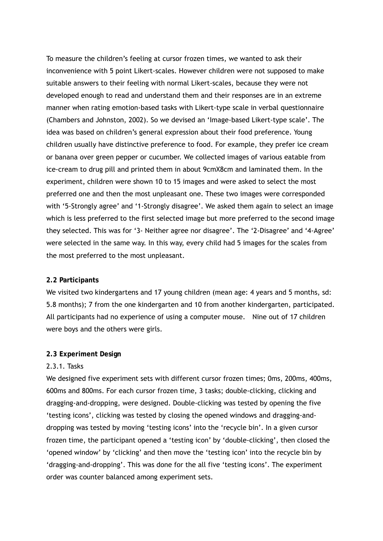To measure the children's feeling at cursor frozen times, we wanted to ask their inconvenience with 5 point Likert-scales. However children were not supposed to make suitable answers to their feeling with normal Likert-scales, because they were not developed enough to read and understand them and their responses are in an extreme manner when rating emotion-based tasks with Likert-type scale in verbal questionnaire (Chambers and Johnston, 2002). So we devised an 'Image-based Likert-type scale'. The idea was based on children's general expression about their food preference. Young children usually have distinctive preference to food. For example, they prefer ice cream or banana over green pepper or cucumber. We collected images of various eatable from ice-cream to drug pill and printed them in about 9cmX8cm and laminated them. In the experiment, children were shown 10 to 15 images and were asked to select the most preferred one and then the most unpleasant one. These two images were corresponded with '5-Strongly agree' and '1-Strongly disagree'. We asked them again to select an image which is less preferred to the first selected image but more preferred to the second image they selected. This was for '3- Neither agree nor disagree'. The '2-Disagree' and '4-Agree' were selected in the same way. In this way, every child had 5 images for the scales from the most preferred to the most unpleasant.

#### **2.2 Participants**

We visited two kindergartens and 17 young children (mean age: 4 years and 5 months, sd: 5.8 months); 7 from the one kindergarten and 10 from another kindergarten, participated. All participants had no experience of using a computer mouse. Nine out of 17 children were boys and the others were girls.

#### **2.3 Experiment Design**

## 2.3.1. Tasks

We designed five experiment sets with different cursor frozen times; 0ms, 200ms, 400ms, 600ms and 800ms. For each cursor frozen time, 3 tasks; double-clicking, clicking and dragging-and-dropping, were designed. Double-clicking was tested by opening the five 'testing icons', clicking was tested by closing the opened windows and dragging-anddropping was tested by moving 'testing icons' into the 'recycle bin'. In a given cursor frozen time, the participant opened a 'testing icon' by 'double-clicking', then closed the 'opened window' by 'clicking' and then move the 'testing icon' into the recycle bin by 'dragging-and-dropping'. This was done for the all five 'testing icons'. The experiment order was counter balanced among experiment sets.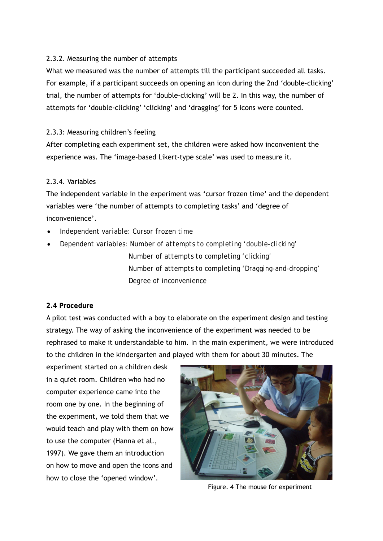## 2.3.2. Measuring the number of attempts

What we measured was the number of attempts till the participant succeeded all tasks. For example, if a participant succeeds on opening an icon during the 2nd 'double-clicking' trial, the number of attempts for 'double-clicking' will be 2. In this way, the number of attempts for 'double-clicking' 'clicking' and 'dragging' for 5 icons were counted.

## 2.3.3: Measuring children's feeling

After completing each experiment set, the children were asked how inconvenient the experience was. The 'image-based Likert-type scale' was used to measure it.

## 2.3.4. Variables

The independent variable in the experiment was 'cursor frozen time' and the dependent variables were 'the number of attempts to completing tasks' and 'degree of inconvenience'.

- *Independent variable: Cursor frozen time*
- *Dependent variables: Number of attempts to completing 'double-clicking' Number of attempts to completing 'clicking' Number of attempts to completing 'Dragging-and-dropping' Degree of inconvenience*

## **2.4 Procedure**

A pilot test was conducted with a boy to elaborate on the experiment design and testing strategy. The way of asking the inconvenience of the experiment was needed to be rephrased to make it understandable to him. In the main experiment, we were introduced to the children in the kindergarten and played with them for about 30 minutes. The

experiment started on a children desk in a quiet room. Children who had no computer experience came into the room one by one. In the beginning of the experiment, we told them that we would teach and play with them on how to use the computer (Hanna et al., 1997). We gave them an introduction on how to move and open the icons and how to close the 'opened window'.



Figure. 4 The mouse for experiment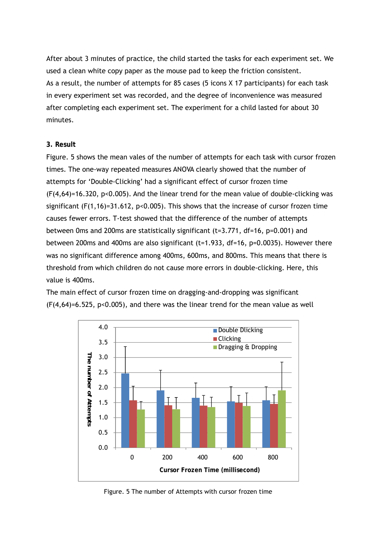After about 3 minutes of practice, the child started the tasks for each experiment set. We used a clean white copy paper as the mouse pad to keep the friction consistent. As a result, the number of attempts for 85 cases (5 icons X 17 participants) for each task in every experiment set was recorded, and the degree of inconvenience was measured after completing each experiment set. The experiment for a child lasted for about 30 minutes.

## **3. Result**

Figure. 5 shows the mean vales of the number of attempts for each task with cursor frozen times. The one-way repeated measures ANOVA clearly showed that the number of attempts for 'Double-Clicking' had a significant effect of cursor frozen time  $(F(4,64)=16.320, p<0.005)$ . And the linear trend for the mean value of double-clicking was significant ( $F(1,16)=31.612$ ,  $p<0.005$ ). This shows that the increase of cursor frozen time causes fewer errors. T-test showed that the difference of the number of attempts between 0ms and 200ms are statistically significant (t=3.771, df=16, p=0.001) and between 200ms and 400ms are also significant (t=1.933, df=16, p=0.0035). However there was no significant difference among 400ms, 600ms, and 800ms. This means that there is threshold from which children do not cause more errors in double-clicking. Here, this value is 400ms.

The main effect of cursor frozen time on dragging-and-dropping was significant (F(4,64)=6.525, p<0.005), and there was the linear trend for the mean value as well



Figure. 5 The number of Attempts with cursor frozen time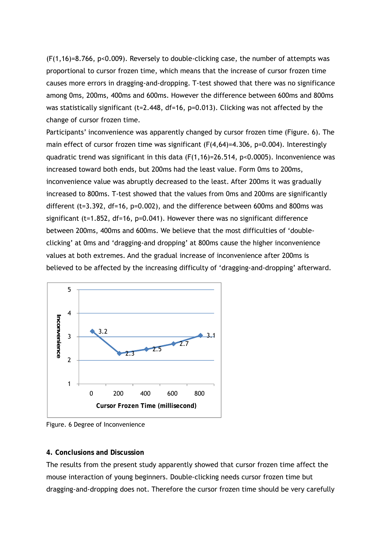$(F(1,16)=8.766, p<0.009)$ . Reversely to double-clicking case, the number of attempts was proportional to cursor frozen time, which means that the increase of cursor frozen time causes more errors in dragging-and-dropping. T-test showed that there was no significance among 0ms, 200ms, 400ms and 600ms. However the difference between 600ms and 800ms was statistically significant ( $t=2.448$ ,  $df=16$ ,  $p=0.013$ ). Clicking was not affected by the change of cursor frozen time.

Participants' inconvenience was apparently changed by cursor frozen time (Figure. 6). The main effect of cursor frozen time was significant (F(4,64)=4.306, p=0.004). Interestingly quadratic trend was significant in this data  $(F(1,16)=26.514, p<0.0005)$ . Inconvenience was increased toward both ends, but 200ms had the least value. Form 0ms to 200ms, inconvenience value was abruptly decreased to the least. After 200ms it was gradually increased to 800ms. T-test showed that the values from 0ms and 200ms are significantly different (t=3.392, df=16, p=0.002), and the difference between 600ms and 800ms was significant (t=1.852, df=16, p=0.041). However there was no significant difference between 200ms, 400ms and 600ms. We believe that the most difficulties of 'doubleclicking' at 0ms and 'dragging-and dropping' at 800ms cause the higher inconvenience values at both extremes. And the gradual increase of inconvenience after 200ms is believed to be affected by the increasing difficulty of 'dragging-and-dropping' afterward.



Figure. 6 Degree of Inconvenience

## **4. Conclusions and Discussion**

The results from the present study apparently showed that cursor frozen time affect the mouse interaction of young beginners. Double-clicking needs cursor frozen time but dragging-and-dropping does not. Therefore the cursor frozen time should be very carefully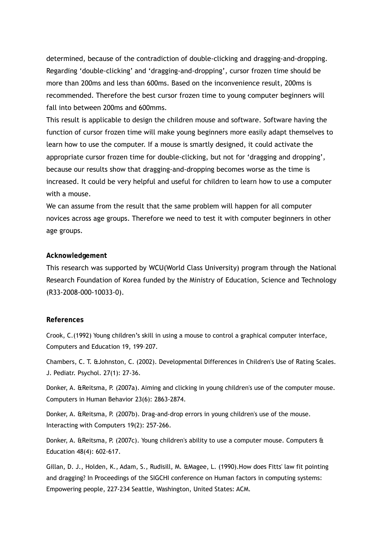determined, because of the contradiction of double-clicking and dragging-and-dropping. Regarding 'double-clicking' and 'dragging-and-dropping', cursor frozen time should be more than 200ms and less than 600ms. Based on the inconvenience result, 200ms is recommended. Therefore the best cursor frozen time to young computer beginners will fall into between 200ms and 600mms.

This result is applicable to design the children mouse and software. Software having the function of cursor frozen time will make young beginners more easily adapt themselves to learn how to use the computer. If a mouse is smartly designed, it could activate the appropriate cursor frozen time for double-clicking, but not for 'dragging and dropping', because our results show that dragging-and-dropping becomes worse as the time is increased. It could be very helpful and useful for children to learn how to use a computer with a mouse.

We can assume from the result that the same problem will happen for all computer novices across age groups. Therefore we need to test it with computer beginners in other age groups.

## **Acknowledgement**

This research was supported by WCU(World Class University) program through the National Research Foundation of Korea funded by the Ministry of Education, Science and Technology (R33-2008-000-10033-0).

## **References**

Crook, C.(1992) Young children's skill in using a mouse to control a graphical computer interface, Computers and Education 19, 199–207.

Chambers, C. T. &Johnston, C. (2002). Developmental Differences in Children's Use of Rating Scales. J. Pediatr. Psychol. 27(1): 27-36.

Donker, A. &Reitsma, P. (2007a). Aiming and clicking in young children's use of the computer mouse. Computers in Human Behavior 23(6): 2863-2874.

Donker, A. &Reitsma, P. (2007b). Drag-and-drop errors in young children's use of the mouse. Interacting with Computers 19(2): 257-266.

Donker, A. &Reitsma, P. (2007c). Young children's ability to use a computer mouse. Computers & Education 48(4): 602-617.

Gillan, D. J., Holden, K., Adam, S., Rudisill, M. &Magee, L. (1990).How does Fitts' law fit pointing and dragging? In Proceedings of the SIGCHI conference on Human factors in computing systems: Empowering people, 227-234 Seattle, Washington, United States: ACM.